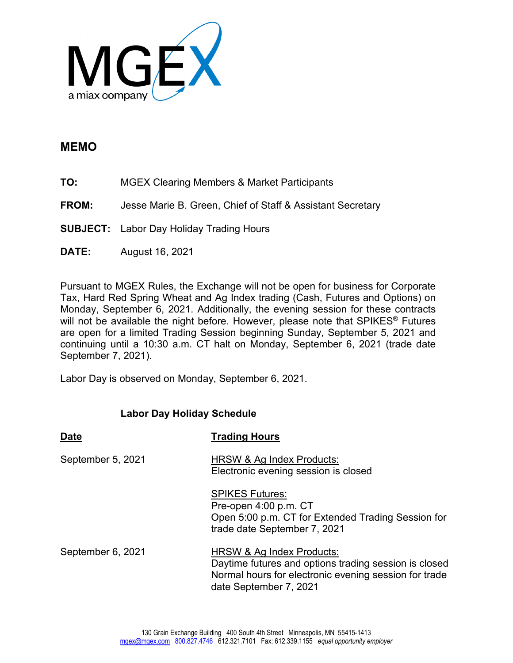

## **MEMO**

- **TO:** MGEX Clearing Members & Market Participants
- **FROM:** Jesse Marie B. Green, Chief of Staff & Assistant Secretary
- **SUBJECT:** Labor Day Holiday Trading Hours
- **DATE:** August 16, 2021

Pursuant to MGEX Rules, the Exchange will not be open for business for Corporate Tax, Hard Red Spring Wheat and Ag Index trading (Cash, Futures and Options) on Monday, September 6, 2021. Additionally, the evening session for these contracts will not be available the night before. However, please note that SPIKES<sup>®</sup> Futures are open for a limited Trading Session beginning Sunday, September 5, 2021 and continuing until a 10:30 a.m. CT halt on Monday, September 6, 2021 (trade date September 7, 2021).

Labor Day is observed on Monday, September 6, 2021.

## **Labor Day Holiday Schedule**

| <b>Date</b>       | <b>Trading Hours</b>                                                                                                                                                  |
|-------------------|-----------------------------------------------------------------------------------------------------------------------------------------------------------------------|
| September 5, 2021 | HRSW & Ag Index Products:<br>Electronic evening session is closed                                                                                                     |
|                   | <b>SPIKES Futures:</b><br>Pre-open 4:00 p.m. CT<br>Open 5:00 p.m. CT for Extended Trading Session for<br>trade date September 7, 2021                                 |
| September 6, 2021 | HRSW & Ag Index Products:<br>Daytime futures and options trading session is closed<br>Normal hours for electronic evening session for trade<br>date September 7, 2021 |